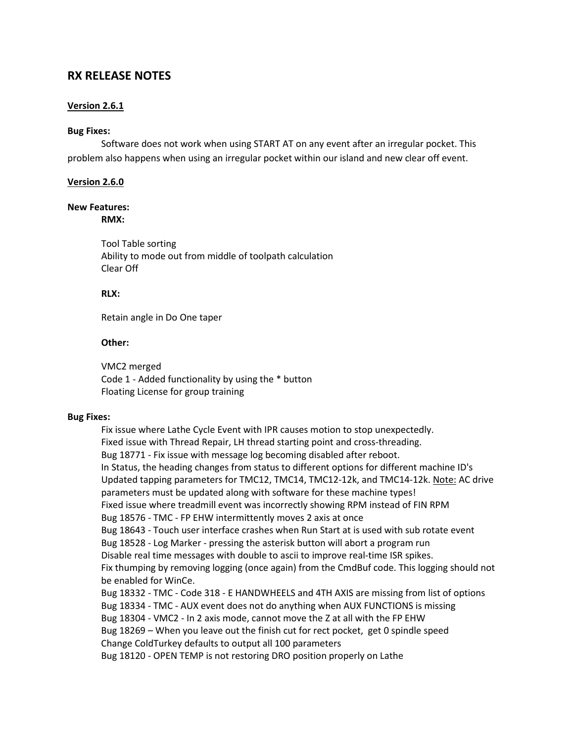# **RX RELEASE NOTES**

### **Version 2.6.1**

#### **Bug Fixes:**

Software does not work when using START AT on any event after an irregular pocket. This problem also happens when using an irregular pocket within our island and new clear off event.

#### **Version 2.6.0**

### **New Features:**

**RMX:**

Tool Table sorting Ability to mode out from middle of toolpath calculation Clear Off

### **RLX:**

Retain angle in Do One taper

#### **Other:**

VMC2 merged Code 1 - Added functionality by using the \* button Floating License for group training

#### **Bug Fixes:**

Fix issue where Lathe Cycle Event with IPR causes motion to stop unexpectedly. Fixed issue with Thread Repair, LH thread starting point and cross-threading. Bug 18771 - Fix issue with message log becoming disabled after reboot. In Status, the heading changes from status to different options for different machine ID's Updated tapping parameters for TMC12, TMC14, TMC12-12k, and TMC14-12k. Note: AC drive parameters must be updated along with software for these machine types! Fixed issue where treadmill event was incorrectly showing RPM instead of FIN RPM Bug 18576 - TMC - FP EHW intermittently moves 2 axis at once Bug 18643 - Touch user interface crashes when Run Start at is used with sub rotate event Bug 18528 - Log Marker - pressing the asterisk button will abort a program run Disable real time messages with double to ascii to improve real-time ISR spikes. Fix thumping by removing logging (once again) from the CmdBuf code. This logging should not be enabled for WinCe. Bug 18332 - TMC - Code 318 - E HANDWHEELS and 4TH AXIS are missing from list of options Bug 18334 - TMC - AUX event does not do anything when AUX FUNCTIONS is missing Bug 18304 - VMC2 - In 2 axis mode, cannot move the Z at all with the FP EHW Bug 18269 – When you leave out the finish cut for rect pocket, get 0 spindle speed Change ColdTurkey defaults to output all 100 parameters Bug 18120 - OPEN TEMP is not restoring DRO position properly on Lathe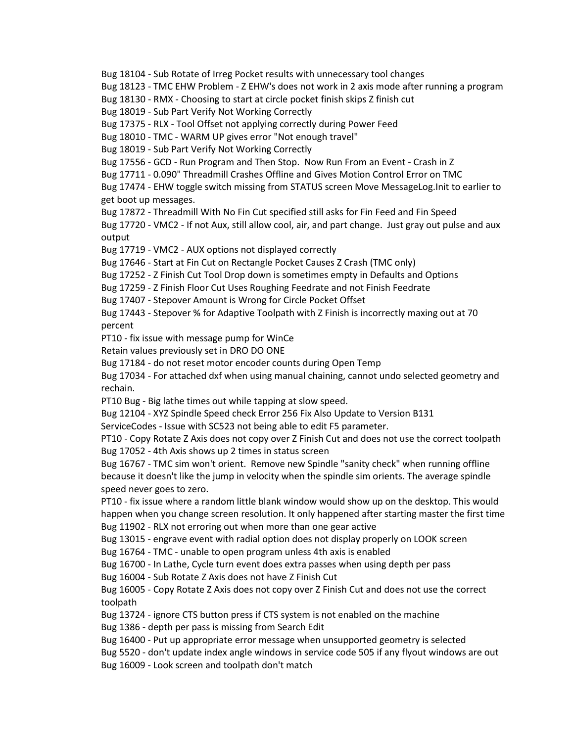Bug 18104 - Sub Rotate of Irreg Pocket results with unnecessary tool changes

Bug 18123 - TMC EHW Problem - Z EHW's does not work in 2 axis mode after running a program

Bug 18130 - RMX - Choosing to start at circle pocket finish skips Z finish cut

Bug 18019 - Sub Part Verify Not Working Correctly

Bug 17375 - RLX - Tool Offset not applying correctly during Power Feed

Bug 18010 - TMC - WARM UP gives error "Not enough travel"

Bug 18019 - Sub Part Verify Not Working Correctly

Bug 17556 - GCD - Run Program and Then Stop. Now Run From an Event - Crash in Z

Bug 17711 - 0.090" Threadmill Crashes Offline and Gives Motion Control Error on TMC

Bug 17474 - EHW toggle switch missing from STATUS screen Move MessageLog.Init to earlier to get boot up messages.

Bug 17872 - Threadmill With No Fin Cut specified still asks for Fin Feed and Fin Speed

Bug 17720 - VMC2 - If not Aux, still allow cool, air, and part change. Just gray out pulse and aux output

Bug 17719 - VMC2 - AUX options not displayed correctly

Bug 17646 - Start at Fin Cut on Rectangle Pocket Causes Z Crash (TMC only)

Bug 17252 - Z Finish Cut Tool Drop down is sometimes empty in Defaults and Options

Bug 17259 - Z Finish Floor Cut Uses Roughing Feedrate and not Finish Feedrate

Bug 17407 - Stepover Amount is Wrong for Circle Pocket Offset

Bug 17443 - Stepover % for Adaptive Toolpath with Z Finish is incorrectly maxing out at 70 percent

PT10 - fix issue with message pump for WinCe

Retain values previously set in DRO DO ONE

Bug 17184 - do not reset motor encoder counts during Open Temp

Bug 17034 - For attached dxf when using manual chaining, cannot undo selected geometry and rechain.

PT10 Bug - Big lathe times out while tapping at slow speed.

Bug 12104 - XYZ Spindle Speed check Error 256 Fix Also Update to Version B131

ServiceCodes - Issue with SC523 not being able to edit F5 parameter.

PT10 - Copy Rotate Z Axis does not copy over Z Finish Cut and does not use the correct toolpath Bug 17052 - 4th Axis shows up 2 times in status screen

Bug 16767 - TMC sim won't orient. Remove new Spindle "sanity check" when running offline because it doesn't like the jump in velocity when the spindle sim orients. The average spindle speed never goes to zero.

PT10 - fix issue where a random little blank window would show up on the desktop. This would happen when you change screen resolution. It only happened after starting master the first time Bug 11902 - RLX not erroring out when more than one gear active

Bug 13015 - engrave event with radial option does not display properly on LOOK screen

Bug 16764 - TMC - unable to open program unless 4th axis is enabled

Bug 16700 - In Lathe, Cycle turn event does extra passes when using depth per pass

Bug 16004 - Sub Rotate Z Axis does not have Z Finish Cut

Bug 16005 - Copy Rotate Z Axis does not copy over Z Finish Cut and does not use the correct toolpath

Bug 13724 - ignore CTS button press if CTS system is not enabled on the machine Bug 1386 - depth per pass is missing from Search Edit

Bug 16400 - Put up appropriate error message when unsupported geometry is selected

Bug 5520 - don't update index angle windows in service code 505 if any flyout windows are out Bug 16009 - Look screen and toolpath don't match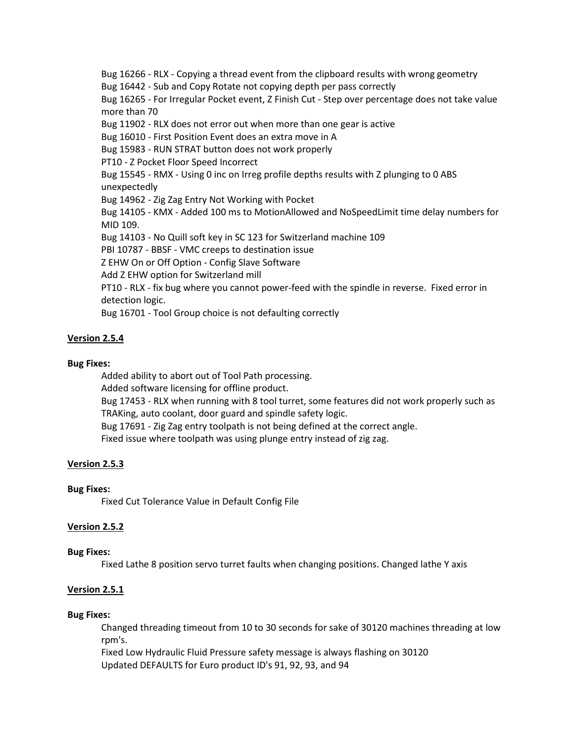Bug 16266 - RLX - Copying a thread event from the clipboard results with wrong geometry Bug 16442 - Sub and Copy Rotate not copying depth per pass correctly Bug 16265 - For Irregular Pocket event, Z Finish Cut - Step over percentage does not take value more than 70 Bug 11902 - RLX does not error out when more than one gear is active Bug 16010 - First Position Event does an extra move in A Bug 15983 - RUN STRAT button does not work properly PT10 - Z Pocket Floor Speed Incorrect Bug 15545 - RMX - Using 0 inc on Irreg profile depths results with Z plunging to 0 ABS unexpectedly Bug 14962 - Zig Zag Entry Not Working with Pocket Bug 14105 - KMX - Added 100 ms to MotionAllowed and NoSpeedLimit time delay numbers for MID 109. Bug 14103 - No Quill soft key in SC 123 for Switzerland machine 109 PBI 10787 - BBSF - VMC creeps to destination issue Z EHW On or Off Option - Config Slave Software Add Z EHW option for Switzerland mill PT10 - RLX - fix bug where you cannot power-feed with the spindle in reverse. Fixed error in detection logic. Bug 16701 - Tool Group choice is not defaulting correctly

# **Version 2.5.4**

### **Bug Fixes:**

Added ability to abort out of Tool Path processing. Added software licensing for offline product. Bug 17453 - RLX when running with 8 tool turret, some features did not work properly such as TRAKing, auto coolant, door guard and spindle safety logic. Bug 17691 - Zig Zag entry toolpath is not being defined at the correct angle. Fixed issue where toolpath was using plunge entry instead of zig zag.

### **Version 2.5.3**

### **Bug Fixes:**

Fixed Cut Tolerance Value in Default Config File

### **Version 2.5.2**

### **Bug Fixes:**

Fixed Lathe 8 position servo turret faults when changing positions. Changed lathe Y axis

### **Version 2.5.1**

#### **Bug Fixes:**

Changed threading timeout from 10 to 30 seconds for sake of 30120 machines threading at low rpm's.

Fixed Low Hydraulic Fluid Pressure safety message is always flashing on 30120 Updated DEFAULTS for Euro product ID's 91, 92, 93, and 94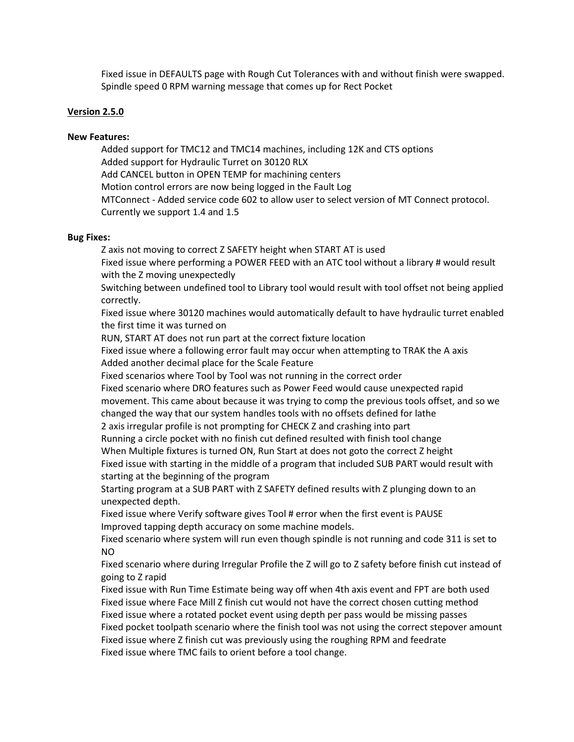Fixed issue in DEFAULTS page with Rough Cut Tolerances with and without finish were swapped. Spindle speed 0 RPM warning message that comes up for Rect Pocket

#### **Version 2.5.0**

#### **New Features:**

Added support for TMC12 and TMC14 machines, including 12K and CTS options Added support for Hydraulic Turret on 30120 RLX Add CANCEL button in OPEN TEMP for machining centers Motion control errors are now being logged in the Fault Log MTConnect - Added service code 602 to allow user to select version of MT Connect protocol. Currently we support 1.4 and 1.5

#### **Bug Fixes:**

Z axis not moving to correct Z SAFETY height when START AT is used

Fixed issue where performing a POWER FEED with an ATC tool without a library # would result with the Z moving unexpectedly

Switching between undefined tool to Library tool would result with tool offset not being applied correctly.

Fixed issue where 30120 machines would automatically default to have hydraulic turret enabled the first time it was turned on

RUN, START AT does not run part at the correct fixture location

Fixed issue where a following error fault may occur when attempting to TRAK the A axis Added another decimal place for the Scale Feature

Fixed scenarios where Tool by Tool was not running in the correct order

Fixed scenario where DRO features such as Power Feed would cause unexpected rapid movement. This came about because it was trying to comp the previous tools offset, and so we changed the way that our system handles tools with no offsets defined for lathe

2 axis irregular profile is not prompting for CHECK Z and crashing into part

Running a circle pocket with no finish cut defined resulted with finish tool change

When Multiple fixtures is turned ON, Run Start at does not goto the correct Z height

Fixed issue with starting in the middle of a program that included SUB PART would result with starting at the beginning of the program

Starting program at a SUB PART with Z SAFETY defined results with Z plunging down to an unexpected depth.

Fixed issue where Verify software gives Tool # error when the first event is PAUSE Improved tapping depth accuracy on some machine models.

Fixed scenario where system will run even though spindle is not running and code 311 is set to NO

Fixed scenario where during Irregular Profile the Z will go to Z safety before finish cut instead of going to Z rapid

Fixed issue with Run Time Estimate being way off when 4th axis event and FPT are both used Fixed issue where Face Mill Z finish cut would not have the correct chosen cutting method Fixed issue where a rotated pocket event using depth per pass would be missing passes Fixed pocket toolpath scenario where the finish tool was not using the correct stepover amount Fixed issue where Z finish cut was previously using the roughing RPM and feedrate Fixed issue where TMC fails to orient before a tool change.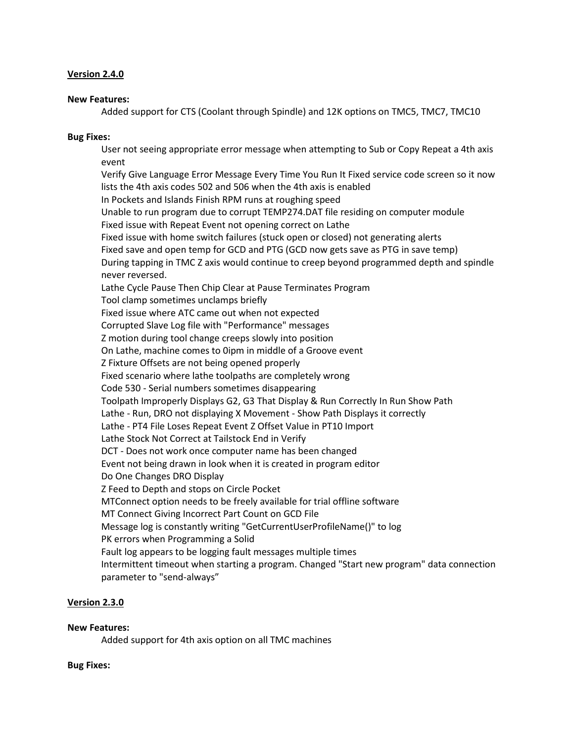#### **Version 2.4.0**

#### **New Features:**

Added support for CTS (Coolant through Spindle) and 12K options on TMC5, TMC7, TMC10

#### **Bug Fixes:**

User not seeing appropriate error message when attempting to Sub or Copy Repeat a 4th axis event

Verify Give Language Error Message Every Time You Run It Fixed service code screen so it now lists the 4th axis codes 502 and 506 when the 4th axis is enabled In Pockets and Islands Finish RPM runs at roughing speed Unable to run program due to corrupt TEMP274.DAT file residing on computer module Fixed issue with Repeat Event not opening correct on Lathe Fixed issue with home switch failures (stuck open or closed) not generating alerts Fixed save and open temp for GCD and PTG (GCD now gets save as PTG in save temp) During tapping in TMC Z axis would continue to creep beyond programmed depth and spindle never reversed. Lathe Cycle Pause Then Chip Clear at Pause Terminates Program Tool clamp sometimes unclamps briefly Fixed issue where ATC came out when not expected Corrupted Slave Log file with "Performance" messages Z motion during tool change creeps slowly into position On Lathe, machine comes to 0ipm in middle of a Groove event Z Fixture Offsets are not being opened properly Fixed scenario where lathe toolpaths are completely wrong Code 530 - Serial numbers sometimes disappearing Toolpath Improperly Displays G2, G3 That Display & Run Correctly In Run Show Path Lathe - Run, DRO not displaying X Movement - Show Path Displays it correctly Lathe - PT4 File Loses Repeat Event Z Offset Value in PT10 Import Lathe Stock Not Correct at Tailstock End in Verify DCT - Does not work once computer name has been changed Event not being drawn in look when it is created in program editor Do One Changes DRO Display Z Feed to Depth and stops on Circle Pocket MTConnect option needs to be freely available for trial offline software MT Connect Giving Incorrect Part Count on GCD File Message log is constantly writing "GetCurrentUserProfileName()" to log PK errors when Programming a Solid Fault log appears to be logging fault messages multiple times Intermittent timeout when starting a program. Changed "Start new program" data connection parameter to "send-always"

#### **Version 2.3.0**

#### **New Features:**

Added support for 4th axis option on all TMC machines

#### **Bug Fixes:**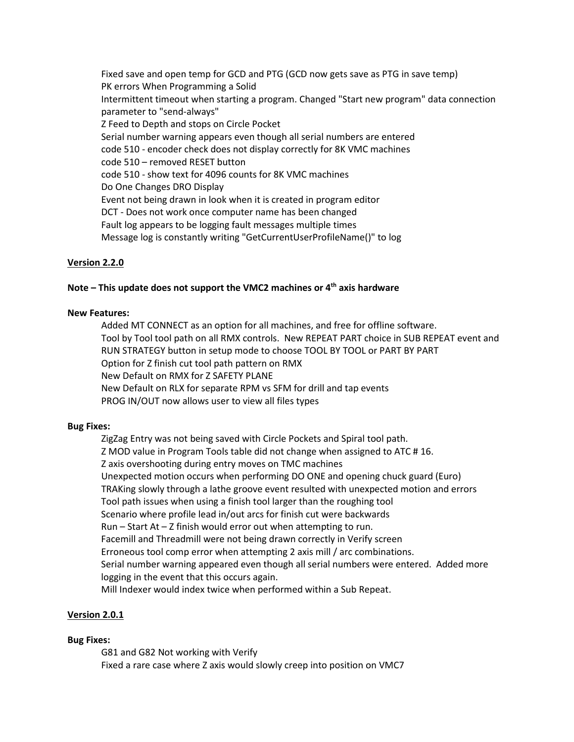Fixed save and open temp for GCD and PTG (GCD now gets save as PTG in save temp) PK errors When Programming a Solid Intermittent timeout when starting a program. Changed "Start new program" data connection parameter to "send-always" Z Feed to Depth and stops on Circle Pocket Serial number warning appears even though all serial numbers are entered code 510 - encoder check does not display correctly for 8K VMC machines code 510 – removed RESET button code 510 - show text for 4096 counts for 8K VMC machines Do One Changes DRO Display Event not being drawn in look when it is created in program editor DCT - Does not work once computer name has been changed Fault log appears to be logging fault messages multiple times Message log is constantly writing "GetCurrentUserProfileName()" to log

# **Version 2.2.0**

### **Note – This update does not support the VMC2 machines or 4th axis hardware**

#### **New Features:**

Added MT CONNECT as an option for all machines, and free for offline software. Tool by Tool tool path on all RMX controls. New REPEAT PART choice in SUB REPEAT event and RUN STRATEGY button in setup mode to choose TOOL BY TOOL or PART BY PART Option for Z finish cut tool path pattern on RMX New Default on RMX for Z SAFETY PLANE New Default on RLX for separate RPM vs SFM for drill and tap events PROG IN/OUT now allows user to view all files types

#### **Bug Fixes:**

ZigZag Entry was not being saved with Circle Pockets and Spiral tool path. Z MOD value in Program Tools table did not change when assigned to ATC # 16. Z axis overshooting during entry moves on TMC machines Unexpected motion occurs when performing DO ONE and opening chuck guard (Euro) TRAKing slowly through a lathe groove event resulted with unexpected motion and errors Tool path issues when using a finish tool larger than the roughing tool Scenario where profile lead in/out arcs for finish cut were backwards Run – Start At – Z finish would error out when attempting to run. Facemill and Threadmill were not being drawn correctly in Verify screen Erroneous tool comp error when attempting 2 axis mill / arc combinations. Serial number warning appeared even though all serial numbers were entered. Added more logging in the event that this occurs again. Mill Indexer would index twice when performed within a Sub Repeat.

### **Version 2.0.1**

#### **Bug Fixes:**

G81 and G82 Not working with Verify Fixed a rare case where Z axis would slowly creep into position on VMC7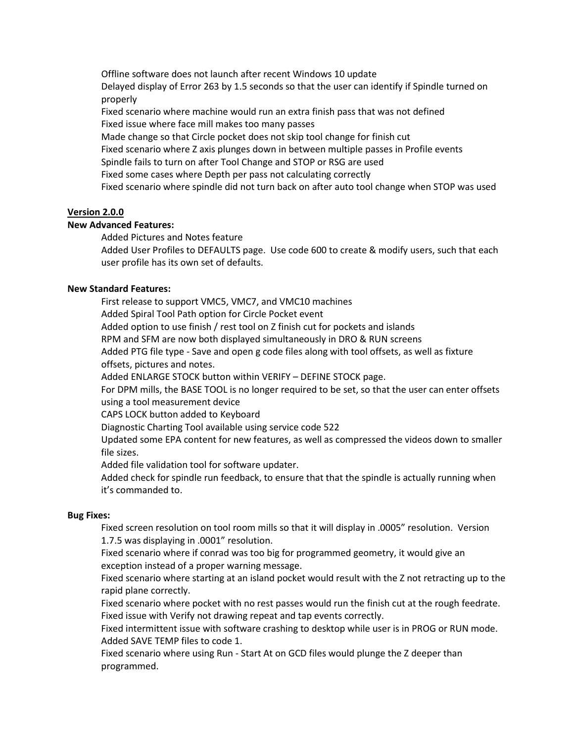Offline software does not launch after recent Windows 10 update Delayed display of Error 263 by 1.5 seconds so that the user can identify if Spindle turned on properly

Fixed scenario where machine would run an extra finish pass that was not defined Fixed issue where face mill makes too many passes

Made change so that Circle pocket does not skip tool change for finish cut

Fixed scenario where Z axis plunges down in between multiple passes in Profile events

Spindle fails to turn on after Tool Change and STOP or RSG are used

Fixed some cases where Depth per pass not calculating correctly

Fixed scenario where spindle did not turn back on after auto tool change when STOP was used

#### **Version 2.0.0**

#### **New Advanced Features:**

Added Pictures and Notes feature

Added User Profiles to DEFAULTS page. Use code 600 to create & modify users, such that each user profile has its own set of defaults.

### **New Standard Features:**

First release to support VMC5, VMC7, and VMC10 machines Added Spiral Tool Path option for Circle Pocket event

Added option to use finish / rest tool on Z finish cut for pockets and islands

RPM and SFM are now both displayed simultaneously in DRO & RUN screens

Added PTG file type - Save and open g code files along with tool offsets, as well as fixture offsets, pictures and notes.

Added ENLARGE STOCK button within VERIFY – DEFINE STOCK page.

For DPM mills, the BASE TOOL is no longer required to be set, so that the user can enter offsets using a tool measurement device

CAPS LOCK button added to Keyboard

Diagnostic Charting Tool available using service code 522

Updated some EPA content for new features, as well as compressed the videos down to smaller file sizes.

Added file validation tool for software updater.

Added check for spindle run feedback, to ensure that that the spindle is actually running when it's commanded to.

#### **Bug Fixes:**

Fixed screen resolution on tool room mills so that it will display in .0005" resolution. Version 1.7.5 was displaying in .0001" resolution.

Fixed scenario where if conrad was too big for programmed geometry, it would give an exception instead of a proper warning message.

Fixed scenario where starting at an island pocket would result with the Z not retracting up to the rapid plane correctly.

Fixed scenario where pocket with no rest passes would run the finish cut at the rough feedrate. Fixed issue with Verify not drawing repeat and tap events correctly.

Fixed intermittent issue with software crashing to desktop while user is in PROG or RUN mode. Added SAVE TEMP files to code 1.

Fixed scenario where using Run - Start At on GCD files would plunge the Z deeper than programmed.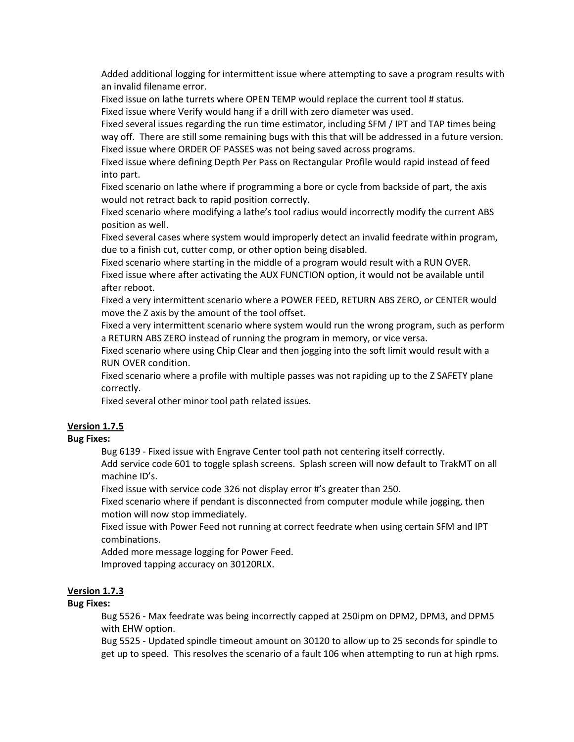Added additional logging for intermittent issue where attempting to save a program results with an invalid filename error.

Fixed issue on lathe turrets where OPEN TEMP would replace the current tool # status. Fixed issue where Verify would hang if a drill with zero diameter was used.

Fixed several issues regarding the run time estimator, including SFM / IPT and TAP times being way off. There are still some remaining bugs with this that will be addressed in a future version. Fixed issue where ORDER OF PASSES was not being saved across programs.

Fixed issue where defining Depth Per Pass on Rectangular Profile would rapid instead of feed into part.

Fixed scenario on lathe where if programming a bore or cycle from backside of part, the axis would not retract back to rapid position correctly.

Fixed scenario where modifying a lathe's tool radius would incorrectly modify the current ABS position as well.

Fixed several cases where system would improperly detect an invalid feedrate within program, due to a finish cut, cutter comp, or other option being disabled.

Fixed scenario where starting in the middle of a program would result with a RUN OVER. Fixed issue where after activating the AUX FUNCTION option, it would not be available until after reboot.

Fixed a very intermittent scenario where a POWER FEED, RETURN ABS ZERO, or CENTER would move the Z axis by the amount of the tool offset.

Fixed a very intermittent scenario where system would run the wrong program, such as perform a RETURN ABS ZERO instead of running the program in memory, or vice versa.

Fixed scenario where using Chip Clear and then jogging into the soft limit would result with a RUN OVER condition.

Fixed scenario where a profile with multiple passes was not rapiding up to the Z SAFETY plane correctly.

Fixed several other minor tool path related issues.

### **Version 1.7.5**

#### **Bug Fixes:**

Bug 6139 - Fixed issue with Engrave Center tool path not centering itself correctly.

Add service code 601 to toggle splash screens. Splash screen will now default to TrakMT on all machine ID's.

Fixed issue with service code 326 not display error #'s greater than 250.

Fixed scenario where if pendant is disconnected from computer module while jogging, then motion will now stop immediately.

Fixed issue with Power Feed not running at correct feedrate when using certain SFM and IPT combinations.

Added more message logging for Power Feed.

Improved tapping accuracy on 30120RLX.

### **Version 1.7.3**

### **Bug Fixes:**

Bug 5526 - Max feedrate was being incorrectly capped at 250ipm on DPM2, DPM3, and DPM5 with EHW option.

Bug 5525 - Updated spindle timeout amount on 30120 to allow up to 25 seconds for spindle to get up to speed. This resolves the scenario of a fault 106 when attempting to run at high rpms.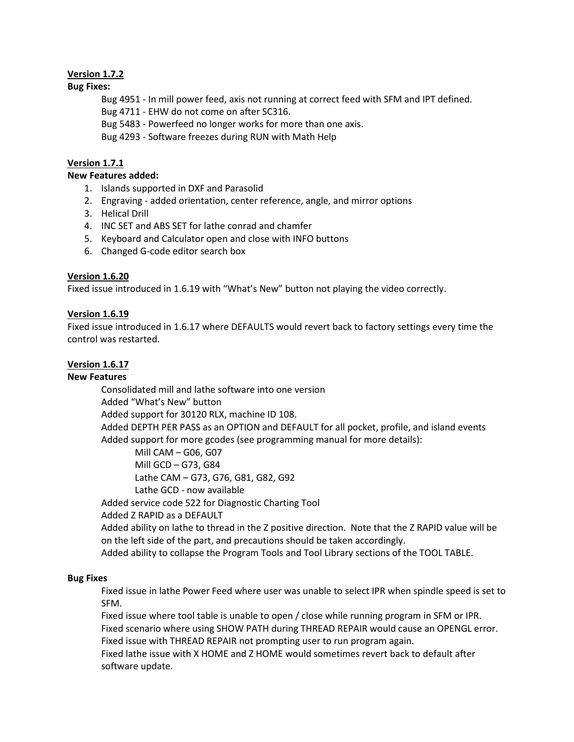# **Version 1.7.2**

### **Bug Fixes:**

Bug 4951 - In mill power feed, axis not running at correct feed with SFM and IPT defined.

Bug 4711 - EHW do not come on after SC316.

Bug 5483 - Powerfeed no longer works for more than one axis.

Bug 4293 - Software freezes during RUN with Math Help

# **Version 1.7.1**

### **New Features added:**

- 1. Islands supported in DXF and Parasolid
- 2. Engraving added orientation, center reference, angle, and mirror options
- 3. Helical Drill
- 4. INC SET and ABS SET for lathe conrad and chamfer
- 5. Keyboard and Calculator open and close with INFO buttons
- 6. Changed G-code editor search box

# **Version 1.6.20**

Fixed issue introduced in 1.6.19 with "What's New" button not playing the video correctly.

# **Version 1.6.19**

Fixed issue introduced in 1.6.17 where DEFAULTS would revert back to factory settings every time the control was restarted.

### **Version 1.6.17**

### **New Features**

Consolidated mill and lathe software into one version Added "What's New" button Added support for 30120 RLX, machine ID 108. Added DEPTH PER PASS as an OPTION and DEFAULT for all pocket, profile, and island events Added support for more gcodes (see programming manual for more details):

Mill CAM – G06, G07 Mill GCD – G73, G84 Lathe CAM – G73, G76, G81, G82, G92 Lathe GCD - now available

Added service code 522 for Diagnostic Charting Tool

Added Z RAPID as a DEFAULT

Added ability on lathe to thread in the Z positive direction. Note that the Z RAPID value will be on the left side of the part, and precautions should be taken accordingly.

Added ability to collapse the Program Tools and Tool Library sections of the TOOL TABLE.

### **Bug Fixes**

Fixed issue in lathe Power Feed where user was unable to select IPR when spindle speed is set to SFM.

Fixed issue where tool table is unable to open / close while running program in SFM or IPR. Fixed scenario where using SHOW PATH during THREAD REPAIR would cause an OPENGL error. Fixed issue with THREAD REPAIR not prompting user to run program again.

Fixed lathe issue with X HOME and Z HOME would sometimes revert back to default after software update.